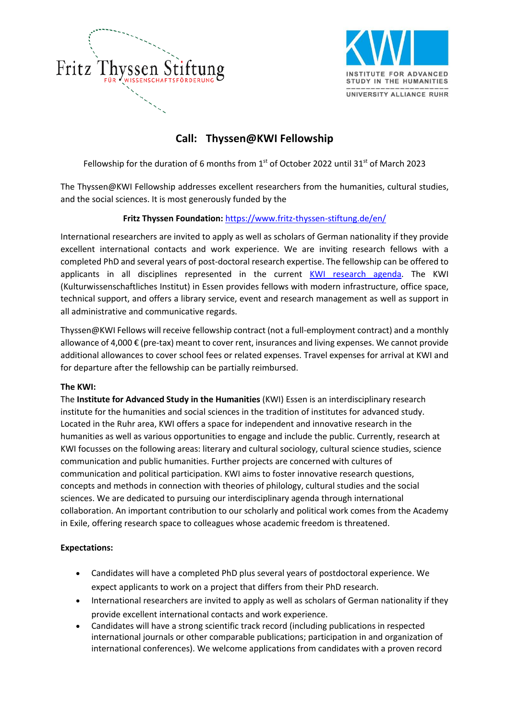



# **Call: Thyssen@KWI Fellowship**

Fellowship for the duration of 6 months from  $1<sup>st</sup>$  of October 2022 until 31 $<sup>st</sup>$  of March 2023</sup>

The Thyssen@KWI Fellowship addresses excellent researchers from the humanities, cultural studies, and the social sciences. It is most generously funded by the

## **Fritz Thyssen Foundation:** https://www.fritz-thyssen-stiftung.de/en/

International researchers are invited to apply as well as scholars of German nationality if they provide excellent international contacts and work experience. We are inviting research fellows with a completed PhD and several years of post-doctoral research expertise. The fellowship can be offered to applicants in all disciplines represented in the current KWI research agenda. The KWI (Kulturwissenschaftliches Institut) in Essen provides fellows with modern infrastructure, office space, technical support, and offers a library service, event and research management as well as support in all administrative and communicative regards.

Thyssen@KWI Fellows will receive fellowship contract (not a full-employment contract) and a monthly allowance of 4,000 € (pre-tax) meant to cover rent, insurances and living expenses. We cannot provide additional allowances to cover school fees or related expenses. Travel expenses for arrival at KWI and for departure after the fellowship can be partially reimbursed.

## **The KWI:**

The **Institute for Advanced Study in the Humanities** (KWI) Essen is an interdisciplinary research institute for the humanities and social sciences in the tradition of institutes for advanced study. Located in the Ruhr area, KWI offers a space for independent and innovative research in the humanities as well as various opportunities to engage and include the public. Currently, research at KWI focusses on the following areas: literary and cultural sociology, cultural science studies, science communication and public humanities. Further projects are concerned with cultures of communication and political participation. KWI aims to foster innovative research questions, concepts and methods in connection with theories of philology, cultural studies and the social sciences. We are dedicated to pursuing our interdisciplinary agenda through international collaboration. An important contribution to our scholarly and political work comes from the Academy in Exile, offering research space to colleagues whose academic freedom is threatened.

## **Expectations:**

- Candidates will have a completed PhD plus several years of postdoctoral experience. We expect applicants to work on a project that differs from their PhD research.
- International researchers are invited to apply as well as scholars of German nationality if they provide excellent international contacts and work experience.
- Candidates will have a strong scientific track record (including publications in respected international journals or other comparable publications; participation in and organization of international conferences). We welcome applications from candidates with a proven record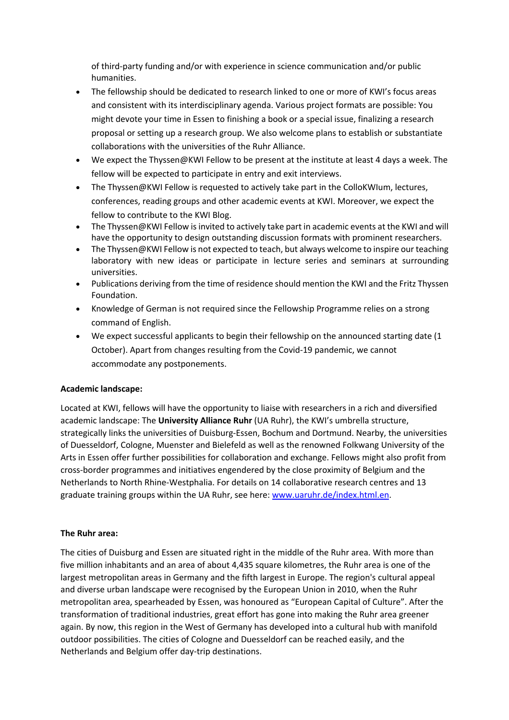of third-party funding and/or with experience in science communication and/or public humanities.

- The fellowship should be dedicated to research linked to one or more of KWI's focus areas and consistent with its interdisciplinary agenda. Various project formats are possible: You might devote your time in Essen to finishing a book or a special issue, finalizing a research proposal or setting up a research group. We also welcome plans to establish or substantiate collaborations with the universities of the Ruhr Alliance.
- We expect the Thyssen@KWI Fellow to be present at the institute at least 4 days a week. The fellow will be expected to participate in entry and exit interviews.
- The Thyssen@KWI Fellow is requested to actively take part in the ColloKWIum, lectures, conferences, reading groups and other academic events at KWI. Moreover, we expect the fellow to contribute to the KWI Blog.
- The Thyssen@KWI Fellow is invited to actively take part in academic events at the KWI and will have the opportunity to design outstanding discussion formats with prominent researchers.
- The Thyssen@KWI Fellow is not expected to teach, but always welcome to inspire our teaching laboratory with new ideas or participate in lecture series and seminars at surrounding universities.
- Publications deriving from the time of residence should mention the KWI and the Fritz Thyssen Foundation.
- Knowledge of German is not required since the Fellowship Programme relies on a strong command of English.
- We expect successful applicants to begin their fellowship on the announced starting date (1) October). Apart from changes resulting from the Covid-19 pandemic, we cannot accommodate any postponements.

#### **Academic landscape:**

Located at KWI, fellows will have the opportunity to liaise with researchers in a rich and diversified academic landscape: The **University Alliance Ruhr** (UA Ruhr), the KWI's umbrella structure, strategically links the universities of Duisburg-Essen, Bochum and Dortmund. Nearby, the universities of Duesseldorf, Cologne, Muenster and Bielefeld as well as the renowned Folkwang University of the Arts in Essen offer further possibilities for collaboration and exchange. Fellows might also profit from cross-border programmes and initiatives engendered by the close proximity of Belgium and the Netherlands to North Rhine-Westphalia. For details on 14 collaborative research centres and 13 graduate training groups within the UA Ruhr, see here: www.uaruhr.de/index.html.en.

#### **The Ruhr area:**

The cities of Duisburg and Essen are situated right in the middle of the Ruhr area. With more than five million inhabitants and an area of about 4,435 square kilometres, the Ruhr area is one of the largest metropolitan areas in Germany and the fifth largest in Europe. The region's cultural appeal and diverse urban landscape were recognised by the European Union in 2010, when the Ruhr metropolitan area, spearheaded by Essen, was honoured as "European Capital of Culture". After the transformation of traditional industries, great effort has gone into making the Ruhr area greener again. By now, this region in the West of Germany has developed into a cultural hub with manifold outdoor possibilities. The cities of Cologne and Duesseldorf can be reached easily, and the Netherlands and Belgium offer day-trip destinations.